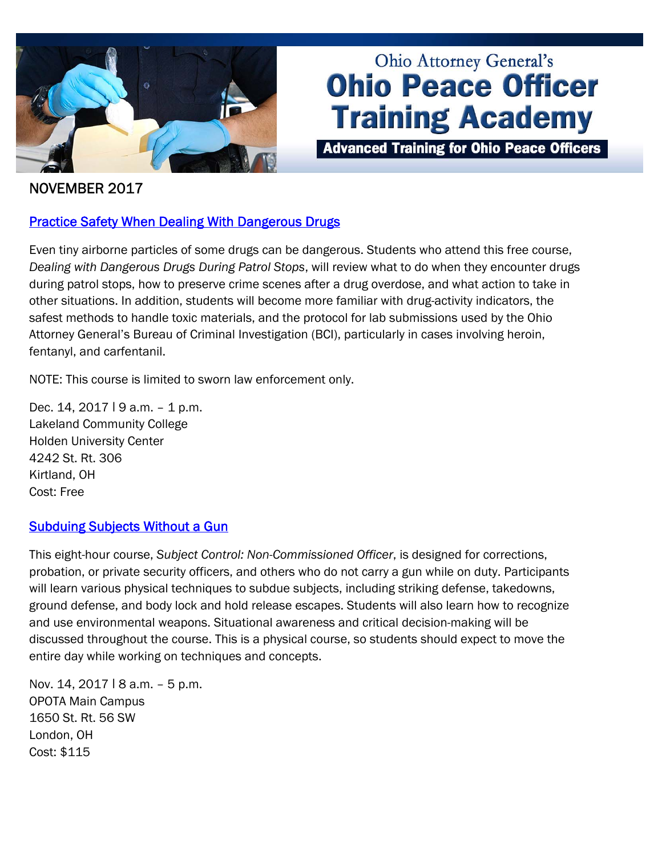

# **Ohio Attorney General's Ohio Peace Officer Training Academy**

**Advanced Training for Ohio Peace Officers** 

## NOVEMBER 2017

## **Practice Safety When Dealing With Dangerous Drugs**

Even tiny airborne particles of some drugs can be dangerous. Students who attend this free course, *Dealing with Dangerous Drugs During Patrol Stops*, will review what to do when they encounter drugs during patrol stops, how to preserve crime scenes after a drug overdose, and what action to take in other situations. In addition, students will become more familiar with drug-activity indicators, the safest methods to handle toxic materials, and the protocol for lab submissions used by the Ohio Attorney General's Bureau of Criminal Investigation (BCI), particularly in cases involving heroin, fentanyl, and carfentanil.

NOTE: This course is limited to sworn law enforcement only.

Dec. 14, 2017 | 9 a.m. - 1 p.m. Lakeland Community College Holden University Center 4242 St. Rt. 306 Kirtland, OH Cost: Free

### **[Subduing Subjects Without a Gun](http://www.ohioattorneygeneral.gov/Law-Enforcement/Ohio-Peace-Officer-Training-Academy/Course-Catalog/Course-Categories/Subject-Control-Courses#OPOTA777)**

This eight-hour course, *Subject Control: Non-Commissioned Officer*, is designed for corrections, probation, or private security officers, and others who do not carry a gun while on duty. Participants will learn various physical techniques to subdue subjects, including striking defense, takedowns, ground defense, and body lock and hold release escapes. Students will also learn how to recognize and use environmental weapons. Situational awareness and critical decision-making will be discussed throughout the course. This is a physical course, so students should expect to move the entire day while working on techniques and concepts.

Nov. 14, 2017 | 8 a.m. - 5 p.m. OPOTA Main Campus 1650 St. Rt. 56 SW London, OH Cost: \$115